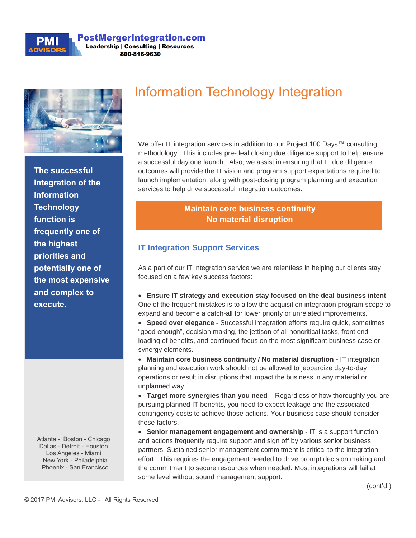

#### **PostMergerIntegration.com Leadership | Consulting | Resources** 800-816-9630



**The successful Integration of the Information Technology function is frequently one of the highest priorities and potentially one of the most expensive and complex to execute.** 

Atlanta - Boston - Chicago Dallas - Detroit - Houston Los Angeles - Miami New York - Philadelphia Phoenix - San Francisco

# Information Technology Integration

We offer IT integration services in addition to our Project 100 Days™ consulting methodology. This includes pre-deal closing due diligence support to help ensure a successful day one launch. Also, we assist in ensuring that IT due diligence outcomes will provide the IT vision and program support expectations required to launch implementation, along with post-closing program planning and execution services to help drive successful integration outcomes.

## **Maintain core business continuity No material disruption**

### **IT Integration Support Services**

As a part of our IT integration service we are relentless in helping our clients stay focused on a few key success factors:

• **Ensure IT strategy and execution stay focused on the deal business intent** - One of the frequent mistakes is to allow the acquisition integration program scope to expand and become a catch-all for lower priority or unrelated improvements.

• **Speed over elegance** - Successful integration efforts require quick, sometimes "good enough", decision making, the jettison of all noncritical tasks, front end loading of benefits, and continued focus on the most significant business case or synergy elements.

• **Maintain core business continuity / No material disruption** - IT integration planning and execution work should not be allowed to jeopardize day-to-day operations or result in disruptions that impact the business in any material or unplanned way.

• **Target more synergies than you need** – Regardless of how thoroughly you are pursuing planned IT benefits, you need to expect leakage and the associated contingency costs to achieve those actions. Your business case should consider these factors.

• **Senior management engagement and ownership** - IT is a support function and actions frequently require support and sign off by various senior business partners. Sustained senior management commitment is critical to the integration effort. This requires the engagement needed to drive prompt decision making and the commitment to secure resources when needed. Most integrations will fail at some level without sound management support.